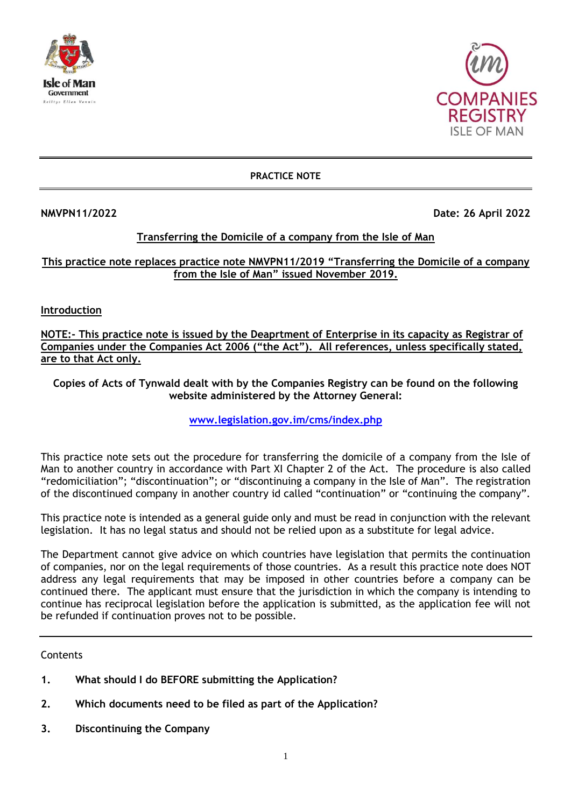



#### **PRACTICE NOTE**

**NMVPN11/2022 Date: 26 April 2022**

### **Transferring the Domicile of a company from the Isle of Man**

**This practice note replaces practice note NMVPN11/2019 "Transferring the Domicile of a company from the Isle of Man" issued November 2019.**

**Introduction**

**NOTE:- This practice note is issued by the Deaprtment of Enterprise in its capacity as Registrar of Companies under the Companies Act 2006 ("the Act"). All references, unless specifically stated, are to that Act only.**

**Copies of Acts of Tynwald dealt with by the Companies Registry can be found on the following website administered by the Attorney General:**

**[www.legislation.gov.im/cms/index.php](http://www.legislation.gov.im/cms/index.php)**

This practice note sets out the procedure for transferring the domicile of a company from the Isle of Man to another country in accordance with Part XI Chapter 2 of the Act. The procedure is also called "redomiciliation"; "discontinuation"; or "discontinuing a company in the Isle of Man". The registration of the discontinued company in another country id called "continuation" or "continuing the company".

This practice note is intended as a general guide only and must be read in conjunction with the relevant legislation. It has no legal status and should not be relied upon as a substitute for legal advice.

The Department cannot give advice on which countries have legislation that permits the continuation of companies, nor on the legal requirements of those countries. As a result this practice note does NOT address any legal requirements that may be imposed in other countries before a company can be continued there. The applicant must ensure that the jurisdiction in which the company is intending to continue has reciprocal legislation before the application is submitted, as the application fee will not be refunded if continuation proves not to be possible.

**Contents** 

- **1. What should I do BEFORE submitting the Application?**
- **2. Which documents need to be filed as part of the Application?**
- **3. Discontinuing the Company**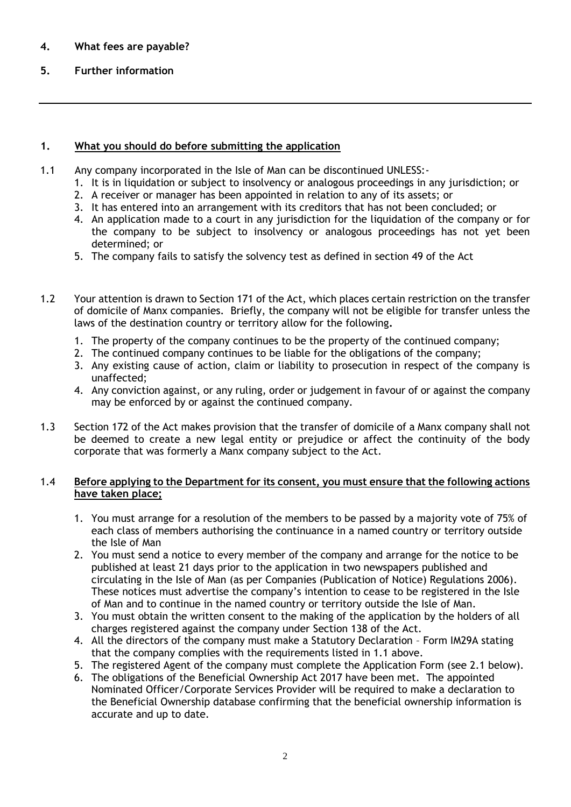# **4. What fees are payable?**

# **5. Further information**

## **1. What you should do before submitting the application**

- 1.1 Any company incorporated in the Isle of Man can be discontinued UNLESS:-
	- 1. It is in liquidation or subject to insolvency or analogous proceedings in any jurisdiction; or
	- 2. A receiver or manager has been appointed in relation to any of its assets; or
	- 3. It has entered into an arrangement with its creditors that has not been concluded; or
	- 4. An application made to a court in any jurisdiction for the liquidation of the company or for the company to be subject to insolvency or analogous proceedings has not yet been determined; or
	- 5. The company fails to satisfy the solvency test as defined in section 49 of the Act
- 1.2 Your attention is drawn to Section 171 of the Act, which places certain restriction on the transfer of domicile of Manx companies. Briefly, the company will not be eligible for transfer unless the laws of the destination country or territory allow for the following**.**
	- 1. The property of the company continues to be the property of the continued company;
	- 2. The continued company continues to be liable for the obligations of the company;
	- 3. Any existing cause of action, claim or liability to prosecution in respect of the company is unaffected;
	- 4. Any conviction against, or any ruling, order or judgement in favour of or against the company may be enforced by or against the continued company.
- 1.3 Section 172 of the Act makes provision that the transfer of domicile of a Manx company shall not be deemed to create a new legal entity or prejudice or affect the continuity of the body corporate that was formerly a Manx company subject to the Act.

### 1.4 **Before applying to the Department for its consent, you must ensure that the following actions have taken place;**

- 1. You must arrange for a resolution of the members to be passed by a majority vote of 75% of each class of members authorising the continuance in a named country or territory outside the Isle of Man
- 2. You must send a notice to every member of the company and arrange for the notice to be published at least 21 days prior to the application in two newspapers published and circulating in the Isle of Man (as per Companies (Publication of Notice) Regulations 2006). These notices must advertise the company's intention to cease to be registered in the Isle of Man and to continue in the named country or territory outside the Isle of Man.
- 3. You must obtain the written consent to the making of the application by the holders of all charges registered against the company under Section 138 of the Act.
- 4. All the directors of the company must make a Statutory Declaration Form IM29A stating that the company complies with the requirements listed in 1.1 above.
- 5. The registered Agent of the company must complete the Application Form (see 2.1 below).
- 6. The obligations of the Beneficial Ownership Act 2017 have been met. The appointed Nominated Officer/Corporate Services Provider will be required to make a declaration to the Beneficial Ownership database confirming that the beneficial ownership information is accurate and up to date.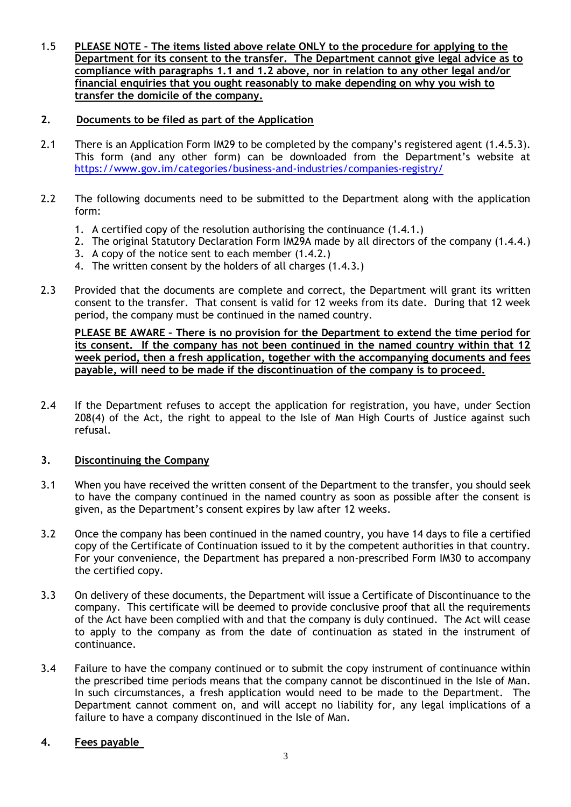1.5 **PLEASE NOTE – The items listed above relate ONLY to the procedure for applying to the Department for its consent to the transfer. The Department cannot give legal advice as to compliance with paragraphs 1.1 and 1.2 above, nor in relation to any other legal and/or financial enquiries that you ought reasonably to make depending on why you wish to transfer the domicile of the company.**

## **2. Documents to be filed as part of the Application**

- 2.1 There is an Application Form IM29 to be completed by the company's registered agent (1.4.5.3). This form (and any other form) can be downloaded from the Department's website at <https://www.gov.im/categories/business-and-industries/companies-registry/>
- 2.2 The following documents need to be submitted to the Department along with the application form:
	- 1. A certified copy of the resolution authorising the continuance (1.4.1.)
	- 2. The original Statutory Declaration Form IM29A made by all directors of the company (1.4.4.)
	- 3. A copy of the notice sent to each member (1.4.2.)
	- 4. The written consent by the holders of all charges (1.4.3.)
- 2.3 Provided that the documents are complete and correct, the Department will grant its written consent to the transfer. That consent is valid for 12 weeks from its date. During that 12 week period, the company must be continued in the named country.

**PLEASE BE AWARE – There is no provision for the Department to extend the time period for its consent. If the company has not been continued in the named country within that 12 week period, then a fresh application, together with the accompanying documents and fees payable, will need to be made if the discontinuation of the company is to proceed.**

2.4 If the Department refuses to accept the application for registration, you have, under Section 208(4) of the Act, the right to appeal to the Isle of Man High Courts of Justice against such refusal.

#### **3. Discontinuing the Company**

- 3.1 When you have received the written consent of the Department to the transfer, you should seek to have the company continued in the named country as soon as possible after the consent is given, as the Department's consent expires by law after 12 weeks.
- 3.2 Once the company has been continued in the named country, you have 14 days to file a certified copy of the Certificate of Continuation issued to it by the competent authorities in that country. For your convenience, the Department has prepared a non-prescribed Form IM30 to accompany the certified copy.
- 3.3 On delivery of these documents, the Department will issue a Certificate of Discontinuance to the company. This certificate will be deemed to provide conclusive proof that all the requirements of the Act have been complied with and that the company is duly continued. The Act will cease to apply to the company as from the date of continuation as stated in the instrument of continuance.
- 3.4 Failure to have the company continued or to submit the copy instrument of continuance within the prescribed time periods means that the company cannot be discontinued in the Isle of Man. In such circumstances, a fresh application would need to be made to the Department. The Department cannot comment on, and will accept no liability for, any legal implications of a failure to have a company discontinued in the Isle of Man.

## **4. Fees payable**